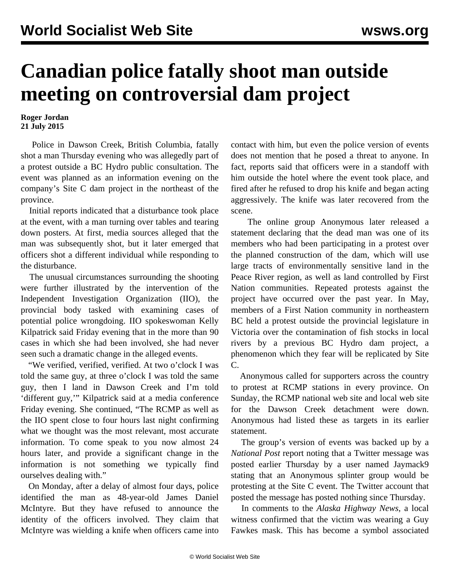## **Canadian police fatally shoot man outside meeting on controversial dam project**

## **Roger Jordan 21 July 2015**

 Police in Dawson Creek, British Columbia, fatally shot a man Thursday evening who was allegedly part of a protest outside a BC Hydro public consultation. The event was planned as an information evening on the company's Site C dam project in the northeast of the province.

 Initial reports indicated that a disturbance took place at the event, with a man turning over tables and tearing down posters. At first, media sources alleged that the man was subsequently shot, but it later emerged that officers shot a different individual while responding to the disturbance.

 The unusual circumstances surrounding the shooting were further illustrated by the intervention of the Independent Investigation Organization (IIO), the provincial body tasked with examining cases of potential police wrongdoing. IIO spokeswoman Kelly Kilpatrick said Friday evening that in the more than 90 cases in which she had been involved, she had never seen such a dramatic change in the alleged events.

 "We verified, verified, verified. At two o'clock I was told the same guy, at three o'clock I was told the same guy, then I land in Dawson Creek and I'm told 'different guy,'" Kilpatrick said at a media conference Friday evening. She continued, "The RCMP as well as the IIO spent close to four hours last night confirming what we thought was the most relevant, most accurate information. To come speak to you now almost 24 hours later, and provide a significant change in the information is not something we typically find ourselves dealing with."

 On Monday, after a delay of almost four days, police identified the man as 48-year-old James Daniel McIntyre. But they have refused to announce the identity of the officers involved. They claim that McIntyre was wielding a knife when officers came into

contact with him, but even the police version of events does not mention that he posed a threat to anyone. In fact, reports said that officers were in a standoff with him outside the hotel where the event took place, and fired after he refused to drop his knife and began acting aggressively. The knife was later recovered from the scene.

 The online group Anonymous later released a statement declaring that the dead man was one of its members who had been participating in a protest over the planned construction of the dam, which will use large tracts of environmentally sensitive land in the Peace River region, as well as land controlled by First Nation communities. Repeated protests against the project have occurred over the past year. In May, members of a First Nation community in northeastern BC held a protest outside the provincial legislature in Victoria over the contamination of fish stocks in local rivers by a previous BC Hydro dam project, a phenomenon which they fear will be replicated by Site C.

 Anonymous called for supporters across the country to protest at RCMP stations in every province. On Sunday, the RCMP national web site and local web site for the Dawson Creek detachment were down. Anonymous had listed these as targets in its earlier statement.

 The group's version of events was backed up by a *National Post* report noting that a Twitter message was posted earlier Thursday by a user named Jaymack9 stating that an Anonymous splinter group would be protesting at the Site C event. The Twitter account that posted the message has posted nothing since Thursday.

 In comments to the *Alaska Highway News*, a local witness confirmed that the victim was wearing a Guy Fawkes mask. This has become a symbol associated